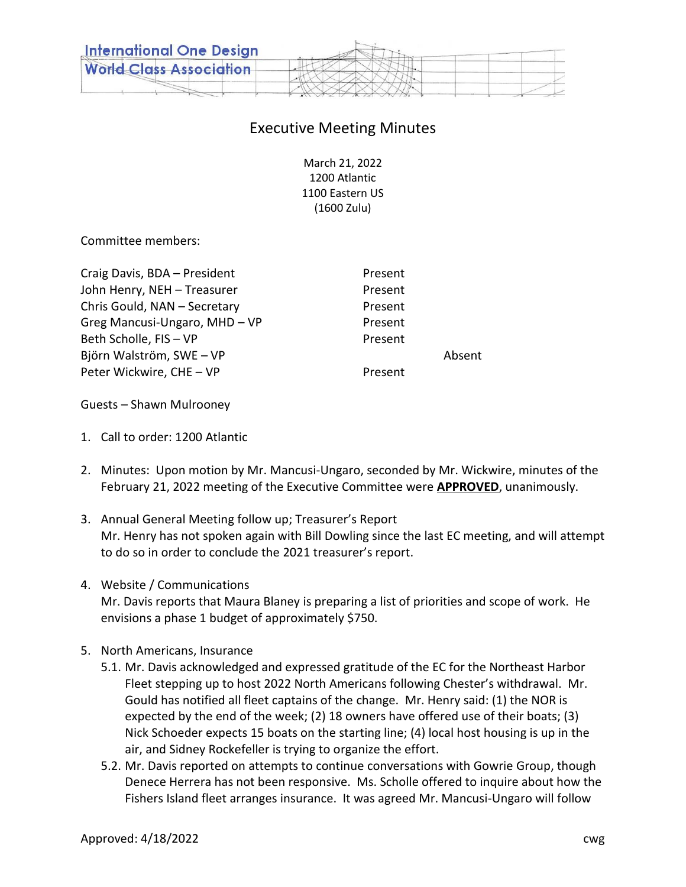

## Executive Meeting Minutes

March 21, 2022 1200 Atlantic 1100 Eastern US (1600 Zulu)

Committee members:

| Craig Davis, BDA - President  | Present |        |
|-------------------------------|---------|--------|
| John Henry, NEH - Treasurer   | Present |        |
| Chris Gould, NAN - Secretary  | Present |        |
| Greg Mancusi-Ungaro, MHD - VP | Present |        |
| Beth Scholle, FIS - VP        | Present |        |
| Björn Walström, SWE - VP      |         | Absent |
| Peter Wickwire, CHE - VP      | Present |        |
|                               |         |        |

Guests – Shawn Mulrooney

- 1. Call to order: 1200 Atlantic
- 2. Minutes: Upon motion by Mr. Mancusi-Ungaro, seconded by Mr. Wickwire, minutes of the February 21, 2022 meeting of the Executive Committee were **APPROVED**, unanimously.
- 3. Annual General Meeting follow up; Treasurer's Report Mr. Henry has not spoken again with Bill Dowling since the last EC meeting, and will attempt to do so in order to conclude the 2021 treasurer's report.
- 4. Website / Communications Mr. Davis reports that Maura Blaney is preparing a list of priorities and scope of work. He envisions a phase 1 budget of approximately \$750.
- 5. North Americans, Insurance
	- 5.1. Mr. Davis acknowledged and expressed gratitude of the EC for the Northeast Harbor Fleet stepping up to host 2022 North Americans following Chester's withdrawal. Mr. Gould has notified all fleet captains of the change. Mr. Henry said: (1) the NOR is expected by the end of the week; (2) 18 owners have offered use of their boats; (3) Nick Schoeder expects 15 boats on the starting line; (4) local host housing is up in the air, and Sidney Rockefeller is trying to organize the effort.
	- 5.2. Mr. Davis reported on attempts to continue conversations with Gowrie Group, though Denece Herrera has not been responsive. Ms. Scholle offered to inquire about how the Fishers Island fleet arranges insurance. It was agreed Mr. Mancusi-Ungaro will follow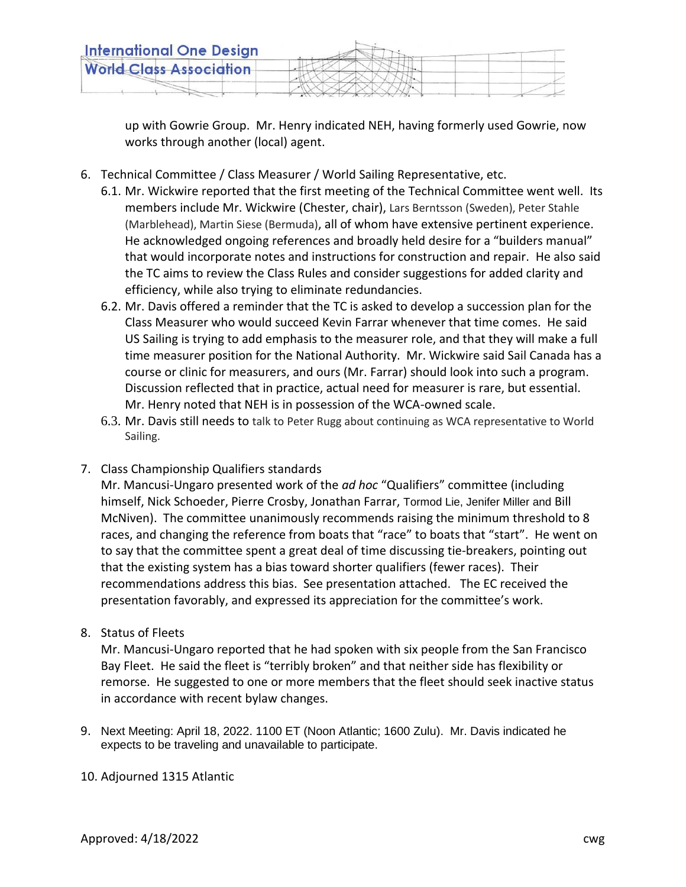

up with Gowrie Group. Mr. Henry indicated NEH, having formerly used Gowrie, now works through another (local) agent.

- 6. Technical Committee / Class Measurer / World Sailing Representative, etc.
	- 6.1. Mr. Wickwire reported that the first meeting of the Technical Committee went well. Its members include Mr. Wickwire (Chester, chair), Lars Berntsson (Sweden), Peter Stahle (Marblehead), Martin Siese (Bermuda), all of whom have extensive pertinent experience. He acknowledged ongoing references and broadly held desire for a "builders manual" that would incorporate notes and instructions for construction and repair. He also said the TC aims to review the Class Rules and consider suggestions for added clarity and efficiency, while also trying to eliminate redundancies.
	- 6.2. Mr. Davis offered a reminder that the TC is asked to develop a succession plan for the Class Measurer who would succeed Kevin Farrar whenever that time comes. He said US Sailing is trying to add emphasis to the measurer role, and that they will make a full time measurer position for the National Authority. Mr. Wickwire said Sail Canada has a course or clinic for measurers, and ours (Mr. Farrar) should look into such a program. Discussion reflected that in practice, actual need for measurer is rare, but essential. Mr. Henry noted that NEH is in possession of the WCA-owned scale.
	- 6.3. Mr. Davis still needs to talk to Peter Rugg about continuing as WCA representative to World Sailing.
- 7. Class Championship Qualifiers standards

Mr. Mancusi-Ungaro presented work of the *ad hoc* "Qualifiers" committee (including himself, Nick Schoeder, Pierre Crosby, Jonathan Farrar, Tormod Lie, Jenifer Miller and Bill McNiven). The committee unanimously recommends raising the minimum threshold to 8 races, and changing the reference from boats that "race" to boats that "start". He went on to say that the committee spent a great deal of time discussing tie-breakers, pointing out that the existing system has a bias toward shorter qualifiers (fewer races). Their recommendations address this bias. See presentation attached. The EC received the presentation favorably, and expressed its appreciation for the committee's work.

8. Status of Fleets

Mr. Mancusi-Ungaro reported that he had spoken with six people from the San Francisco Bay Fleet. He said the fleet is "terribly broken" and that neither side has flexibility or remorse. He suggested to one or more members that the fleet should seek inactive status in accordance with recent bylaw changes.

9. Next Meeting: April 18, 2022. 1100 ET (Noon Atlantic; 1600 Zulu). Mr. Davis indicated he expects to be traveling and unavailable to participate.

## 10. Adjourned 1315 Atlantic